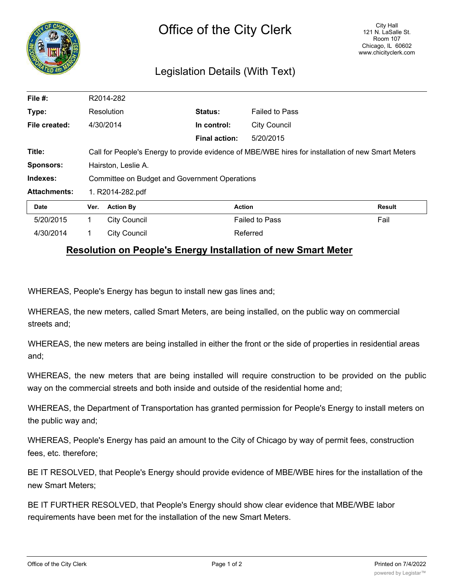

## Legislation Details (With Text)

| File $#$ :          | R2014-282                                                                                          |                     |                      |                       |               |
|---------------------|----------------------------------------------------------------------------------------------------|---------------------|----------------------|-----------------------|---------------|
| Type:               | Resolution                                                                                         |                     | Status:              | <b>Failed to Pass</b> |               |
| File created:       |                                                                                                    | 4/30/2014           | In control:          | <b>City Council</b>   |               |
|                     |                                                                                                    |                     | <b>Final action:</b> | 5/20/2015             |               |
| Title:              | Call for People's Energy to provide evidence of MBE/WBE hires for installation of new Smart Meters |                     |                      |                       |               |
| <b>Sponsors:</b>    | Hairston, Leslie A.                                                                                |                     |                      |                       |               |
| Indexes:            | <b>Committee on Budget and Government Operations</b>                                               |                     |                      |                       |               |
| <b>Attachments:</b> | 1. R2014-282.pdf                                                                                   |                     |                      |                       |               |
| Date                | Ver.                                                                                               | <b>Action By</b>    |                      | <b>Action</b>         | <b>Result</b> |
| 5/20/2015           | 1.                                                                                                 | <b>City Council</b> |                      | <b>Failed to Pass</b> | Fail          |
| 4/30/2014           |                                                                                                    | <b>City Council</b> |                      | Referred              |               |

## **Resolution on People's Energy Installation of new Smart Meter**

WHEREAS, People's Energy has begun to install new gas lines and;

WHEREAS, the new meters, called Smart Meters, are being installed, on the public way on commercial streets and;

WHEREAS, the new meters are being installed in either the front or the side of properties in residential areas and;

WHEREAS, the new meters that are being installed will require construction to be provided on the public way on the commercial streets and both inside and outside of the residential home and;

WHEREAS, the Department of Transportation has granted permission for People's Energy to install meters on the public way and;

WHEREAS, People's Energy has paid an amount to the City of Chicago by way of permit fees, construction fees, etc. therefore;

BE IT RESOLVED, that People's Energy should provide evidence of MBE/WBE hires for the installation of the new Smart Meters;

BE IT FURTHER RESOLVED, that People's Energy should show clear evidence that MBE/WBE labor requirements have been met for the installation of the new Smart Meters.